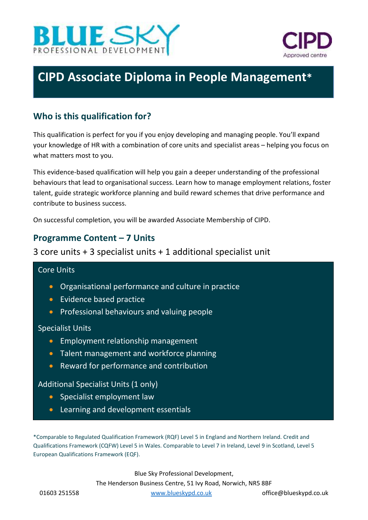



# **CIPD Associate Diploma in People Management\***

# **Who is this qualification for?**

This qualification is perfect for you if you enjoy developing and managing people. You'll expand your knowledge of HR with a combination of core units and specialist areas – helping you focus on what matters most to you.

This evidence-based qualification will help you gain a deeper understanding of the professional behaviours that lead to organisational success. Learn how to manage employment relations, foster talent, guide strategic workforce planning and build reward schemes that drive performance and contribute to business success.

On successful completion, you will be awarded Associate Membership of CIPD.

# **Programme Content – 7 Units**

## 3 core units + 3 specialist units + 1 additional specialist unit

## Core Units

- Organisational performance and culture in practice
- Evidence based practice
- **•** Professional behaviours and valuing people

#### Specialist Units

- Employment relationship management
- Talent management and workforce planning
- Reward for performance and contribution

#### Additional Specialist Units (1 only)

- Specialist employment law
- Learning and development essentials

\*Comparable to Regulated Qualification Framework (RQF) Level 5 in England and Northern Ireland. Credit and Qualifications Framework (CQFW) Level 5 in Wales. Comparable to Level 7 in Ireland, Level 9 in Scotland, Level 5 European Qualifications Framework (EQF).

Blue Sky Professional Development,

The Henderson Business Centre, 51 Ivy Road, Norwich, NR5 8BF